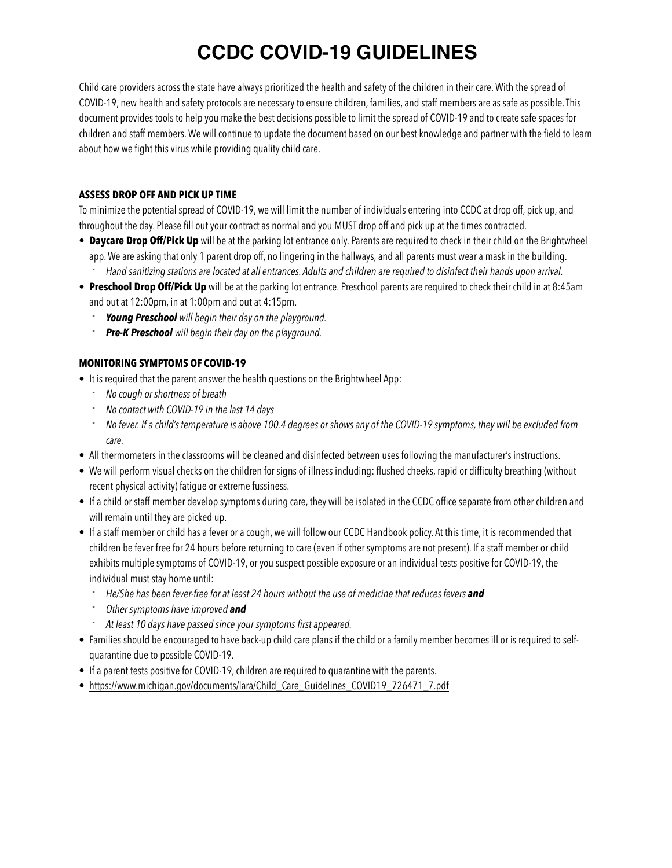# **CCDC COVID-19 GUIDELINES**

Child care providers across the state have always prioritized the health and safety of the children in their care. With the spread of COVID-19, new health and safety protocols are necessary to ensure children, families, and staff members are as safe as possible. This document provides tools to help you make the best decisions possible to limit the spread of COVID-19 and to create safe spaces for children and staff members. We will continue to update the document based on our best knowledge and partner with the field to learn about how we fight this virus while providing quality child care.

### **ASSESS DROP OFF AND PICK UP TIME**

To minimize the potential spread of COVID-19, we will limit the number of individuals entering into CCDC at drop off, pick up, and throughout the day. Please fill out your contract as normal and you MUST drop off and pick up at the times contracted.

- **Daycare Drop Off/Pick Up** will be at the parking lot entrance only. Parents are required to check in their child on the Brightwheel app. We are asking that only 1 parent drop off, no lingering in the hallways, and all parents must wear a mask in the building. - *Hand sanitizing stations are located at all entrances. Adults and children are required to disinfect their hands upon arrival.*
- **Preschool Drop Off/Pick Up** will be at the parking lot entrance. Preschool parents are required to check their child in at 8:45am and out at 12:00pm, in at 1:00pm and out at 4:15pm.
	- *Young Preschool will begin their day on the playground.*
	- *Pre-K Preschool will begin their day on the playground.*

## **MONITORING SYMPTOMS OF COVID-19**

- It is required that the parent answer the health questions on the Brightwheel App:
	- *No cough or shortness of breath*
	- *No contact with COVID-19 in the last 14 days*
	- *No fever. If a child's temperature is above 100.4 degrees or shows any of the COVID-19 symptoms, they will be excluded from care.*
- All thermometers in the classrooms will be cleaned and disinfected between uses following the manufacturer's instructions.
- We will perform visual checks on the children for signs of illness including: flushed cheeks, rapid or difficulty breathing (without recent physical activity) fatigue or extreme fussiness.
- If a child or staff member develop symptoms during care, they will be isolated in the CCDC office separate from other children and will remain until they are picked up.
- If a staff member or child has a fever or a cough, we will follow our CCDC Handbook policy. At this time, it is recommended that children be fever free for 24 hours before returning to care (even if other symptoms are not present). If a staff member or child exhibits multiple symptoms of COVID-19, or you suspect possible exposure or an individual tests positive for COVID-19, the individual must stay home until:
	- <sup>-</sup> *He/She has been fever-free for at least 24 hours without the use of medicine that reduces fevers and*
	- *Other symptoms have improved and*
	- *At least 10 days have passed since your symptoms first appeared.*
- Families should be encouraged to have back-up child care plans if the child or a family member becomes ill or is required to selfquarantine due to possible COVID-19.
- If a parent tests positive for COVID-19, children are required to quarantine with the parents.
- [https://www.michigan.gov/documents/lara/Child\\_Care\\_Guidelines\\_COVID19\\_726471\\_7.pdf](https://www.michigan.gov/documents/lara/Child_Care_Guidelines_COVID19_726471_7.pdf)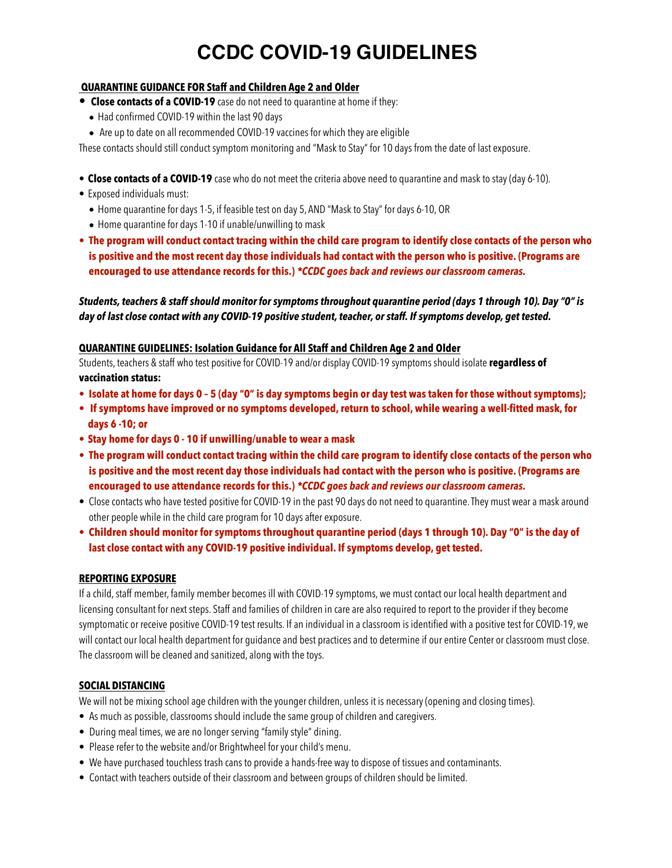# **CCDC COVID-19 GUIDELINES**

### **QUARANTINE GUIDANCE FOR Staff and Children Age 2 and Older**

- **Close contacts of a COVID-19** case do not need to quarantine at home if they:
	- Had confirmed COVID-19 within the last 90 days
	- Are up to date on all recommended COVID-19 vaccines for which they are eligible

These contacts should still conduct symptom monitoring and "Mask to Stay" for 10 days from the date of last exposure.

- **Close contacts of a COVID-19** case who do not meet the criteria above need to quarantine and mask to stay (day 6-10).
- Exposed individuals must:
	- Home quarantine for days 1-5, if feasible test on day 5, AND "Mask to Stay" for days 6-10, OR
	- Home quarantine for days 1-10 if unable/unwilling to mask
- **• The program will conduct contact tracing within the child care program to identify close contacts of the person who is positive and the most recent day those individuals had contact with the person who is positive. (Programs are encouraged to use attendance records for this.)** *\*CCDC goes back and reviews our classroom cameras.*

*Students, teachers & staff should monitor for symptoms throughout quarantine period (days 1 through 10). Day "0" is day of last close contact with any COVID-19 positive student, teacher, or staff. If symptoms develop, get tested.*

#### **QUARANTINE GUIDELINES: Isolation Guidance for All Staff and Children Age 2 and Older**

Students, teachers & staff who test positive for COVID-19 and/or display COVID-19 symptoms should isolate **regardless of vaccination status:**

- **• Isolate at home for days 0 5 (day "0" is day symptoms begin or day test was taken for those without symptoms);**
- **If symptoms have improved or no symptoms developed, return to school, while wearing a well-fitted mask, for days 6 -10; or**
- **• Stay home for days 0 10 if unwilling/unable to wear a mask**
- **• The program will conduct contact tracing within the child care program to identify close contacts of the person who is positive and the most recent day those individuals had contact with the person who is positive. (Programs are encouraged to use attendance records for this.)** *\*CCDC goes back and reviews our classroom cameras.*
- Close contacts who have tested positive for COVID-19 in the past 90 days do not need to quarantine. They must wear a mask around other people while in the child care program for 10 days after exposure.
- **• Children should monitor for symptoms throughout quarantine period (days 1 through 10). Day "0" is the day of last close contact with any COVID-19 positive individual. If symptoms develop, get tested.**

#### **REPORTING EXPOSURE**

If a child, staff member, family member becomes ill with COVID-19 symptoms, we must contact our local health department and licensing consultant for next steps. Staff and families of children in care are also required to report to the provider if they become symptomatic or receive positive COVID-19 test results. If an individual in a classroom is identified with a positive test for COVID-19, we will contact our local health department for guidance and best practices and to determine if our entire Center or classroom must close. The classroom will be cleaned and sanitized, along with the toys.

### **SOCIAL DISTANCING**

We will not be mixing school age children with the younger children, unless it is necessary (opening and closing times).

- As much as possible, classrooms should include the same group of children and caregivers.
- During meal times, we are no longer serving "family style" dining.
- Please refer to the website and/or Brightwheel for your child's menu.
- We have purchased touchless trash cans to provide a hands-free way to dispose of tissues and contaminants.
- Contact with teachers outside of their classroom and between groups of children should be limited.